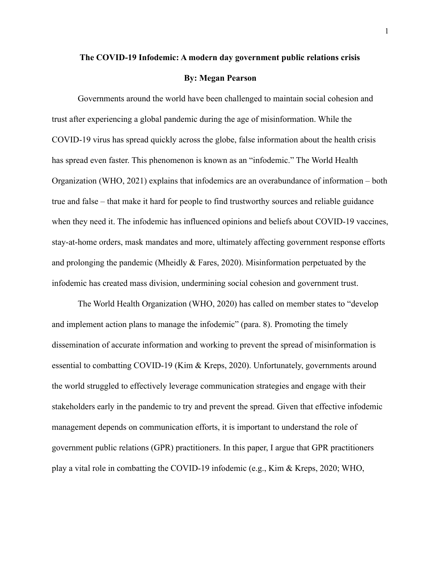#### **The COVID-19 Infodemic: A modern day government public relations crisis**

#### **By: Megan Pearson**

Governments around the world have been challenged to maintain social cohesion and trust after experiencing a global pandemic during the age of misinformation. While the COVID-19 virus has spread quickly across the globe, false information about the health crisis has spread even faster. This phenomenon is known as an "infodemic." The World Health Organization (WHO, 2021) explains that infodemics are an overabundance of information – both true and false – that make it hard for people to find trustworthy sources and reliable guidance when they need it. The infodemic has influenced opinions and beliefs about COVID-19 vaccines, stay-at-home orders, mask mandates and more, ultimately affecting government response efforts and prolonging the pandemic (Mheidly  $&$  Fares, 2020). Misinformation perpetuated by the infodemic has created mass division, undermining social cohesion and government trust.

The World Health Organization (WHO, 2020) has called on member states to "develop and implement action plans to manage the infodemic" (para. 8). Promoting the timely dissemination of accurate information and working to prevent the spread of misinformation is essential to combatting COVID-19 (Kim & Kreps, 2020). Unfortunately, governments around the world struggled to effectively leverage communication strategies and engage with their stakeholders early in the pandemic to try and prevent the spread. Given that effective infodemic management depends on communication efforts, it is important to understand the role of government public relations (GPR) practitioners. In this paper, I argue that GPR practitioners play a vital role in combatting the COVID-19 infodemic (e.g., Kim & Kreps, 2020; WHO,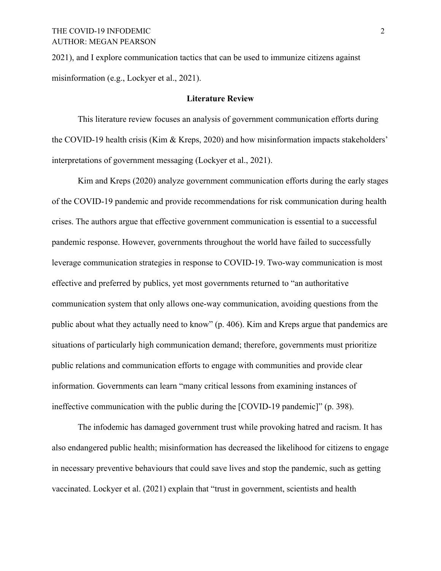2021), and I explore communication tactics that can be used to immunize citizens against misinformation (e.g., Lockyer et al., 2021).

#### **Literature Review**

This literature review focuses an analysis of government communication efforts during the COVID-19 health crisis (Kim & Kreps, 2020) and how misinformation impacts stakeholders' interpretations of government messaging (Lockyer et al., 2021).

Kim and Kreps (2020) analyze government communication efforts during the early stages of the COVID-19 pandemic and provide recommendations for risk communication during health crises. The authors argue that effective government communication is essential to a successful pandemic response. However, governments throughout the world have failed to successfully leverage communication strategies in response to COVID-19. Two-way communication is most effective and preferred by publics, yet most governments returned to "an authoritative communication system that only allows one-way communication, avoiding questions from the public about what they actually need to know" (p. 406). Kim and Kreps argue that pandemics are situations of particularly high communication demand; therefore, governments must prioritize public relations and communication efforts to engage with communities and provide clear information. Governments can learn "many critical lessons from examining instances of ineffective communication with the public during the [COVID-19 pandemic]" (p. 398).

The infodemic has damaged government trust while provoking hatred and racism. It has also endangered public health; misinformation has decreased the likelihood for citizens to engage in necessary preventive behaviours that could save lives and stop the pandemic, such as getting vaccinated. Lockyer et al. (2021) explain that "trust in government, scientists and health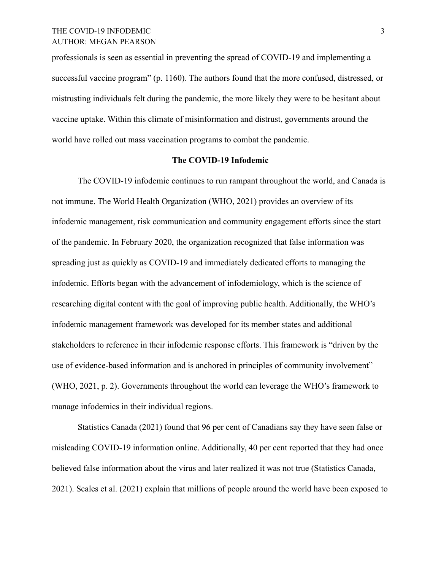professionals is seen as essential in preventing the spread of COVID-19 and implementing a successful vaccine program" (p. 1160). The authors found that the more confused, distressed, or mistrusting individuals felt during the pandemic, the more likely they were to be hesitant about vaccine uptake. Within this climate of misinformation and distrust, governments around the world have rolled out mass vaccination programs to combat the pandemic.

#### **The COVID-19 Infodemic**

The COVID-19 infodemic continues to run rampant throughout the world, and Canada is not immune. The World Health Organization (WHO, 2021) provides an overview of its infodemic management, risk communication and community engagement efforts since the start of the pandemic. In February 2020, the organization recognized that false information was spreading just as quickly as COVID-19 and immediately dedicated efforts to managing the infodemic. Efforts began with the advancement of infodemiology, which is the science of researching digital content with the goal of improving public health. Additionally, the WHO's infodemic management framework was developed for its member states and additional stakeholders to reference in their infodemic response efforts. This framework is "driven by the use of evidence-based information and is anchored in principles of community involvement" (WHO, 2021, p. 2). Governments throughout the world can leverage the WHO's framework to manage infodemics in their individual regions.

Statistics Canada (2021) found that 96 per cent of Canadians say they have seen false or misleading COVID-19 information online. Additionally, 40 per cent reported that they had once believed false information about the virus and later realized it was not true (Statistics Canada, 2021). Scales et al. (2021) explain that millions of people around the world have been exposed to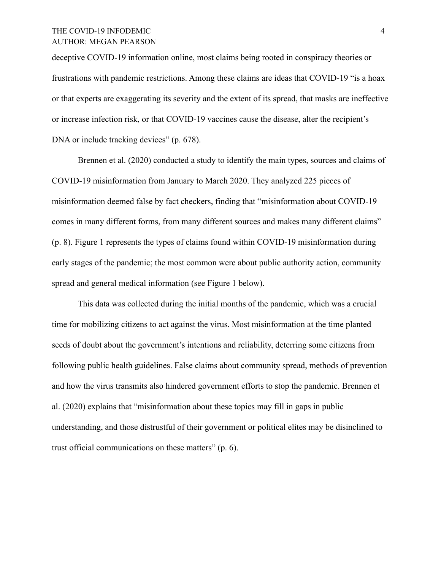## THE COVID-19 INFODEMIC 4 AUTHOR: MEGAN PEARSON

deceptive COVID-19 information online, most claims being rooted in conspiracy theories or frustrations with pandemic restrictions. Among these claims are ideas that COVID-19 "is a hoax or that experts are exaggerating its severity and the extent of its spread, that masks are ineffective or increase infection risk, or that COVID-19 vaccines cause the disease, alter the recipient's DNA or include tracking devices" (p. 678).

Brennen et al. (2020) conducted a study to identify the main types, sources and claims of COVID-19 misinformation from January to March 2020. They analyzed 225 pieces of misinformation deemed false by fact checkers, finding that "misinformation about COVID-19 comes in many different forms, from many different sources and makes many different claims" (p. 8). Figure 1 represents the types of claims found within COVID-19 misinformation during early stages of the pandemic; the most common were about public authority action, community spread and general medical information (see Figure 1 below).

This data was collected during the initial months of the pandemic, which was a crucial time for mobilizing citizens to act against the virus. Most misinformation at the time planted seeds of doubt about the government's intentions and reliability, deterring some citizens from following public health guidelines. False claims about community spread, methods of prevention and how the virus transmits also hindered government efforts to stop the pandemic. Brennen et al. (2020) explains that "misinformation about these topics may fill in gaps in public understanding, and those distrustful of their government or political elites may be disinclined to trust official communications on these matters" (p. 6).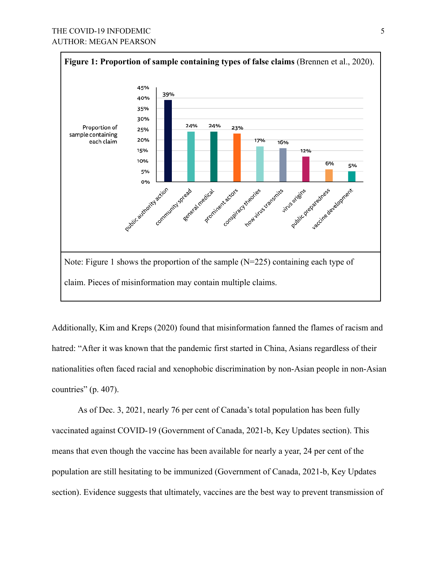

Additionally, Kim and Kreps (2020) found that misinformation fanned the flames of racism and hatred: "After it was known that the pandemic first started in China, Asians regardless of their nationalities often faced racial and xenophobic discrimination by non-Asian people in non-Asian countries" (p. 407).

As of Dec. 3, 2021, nearly 76 per cent of Canada's total population has been fully vaccinated against COVID-19 (Government of Canada, 2021-b, Key Updates section). This means that even though the vaccine has been available for nearly a year, 24 per cent of the population are still hesitating to be immunized (Government of Canada, 2021-b, Key Updates section). Evidence suggests that ultimately, vaccines are the best way to prevent transmission of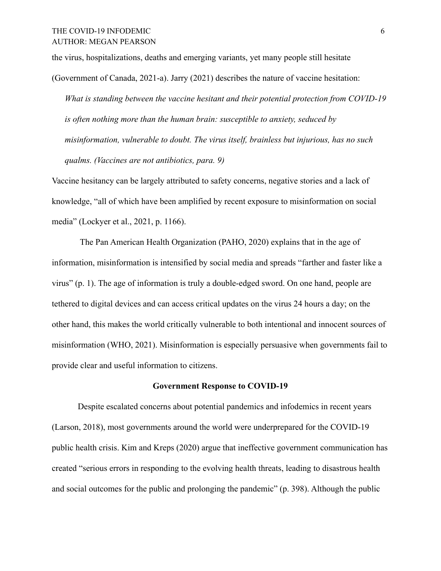the virus, hospitalizations, deaths and emerging variants, yet many people still hesitate

(Government of Canada, 2021-a). Jarry (2021) describes the nature of vaccine hesitation:

*What is standing between the vaccine hesitant and their potential protection from COVID-19 is often nothing more than the human brain: susceptible to anxiety, seduced by misinformation, vulnerable to doubt. The virus itself, brainless but injurious, has no such qualms. (Vaccines are not antibiotics, para. 9)*

Vaccine hesitancy can be largely attributed to safety concerns, negative stories and a lack of knowledge, "all of which have been amplified by recent exposure to misinformation on social media" (Lockyer et al., 2021, p. 1166).

The Pan American Health Organization (PAHO, 2020) explains that in the age of information, misinformation is intensified by social media and spreads "farther and faster like a virus" (p. 1). The age of information is truly a double-edged sword. On one hand, people are tethered to digital devices and can access critical updates on the virus 24 hours a day; on the other hand, this makes the world critically vulnerable to both intentional and innocent sources of misinformation (WHO, 2021). Misinformation is especially persuasive when governments fail to provide clear and useful information to citizens.

### **Government Response to COVID-19**

Despite escalated concerns about potential pandemics and infodemics in recent years (Larson, 2018), most governments around the world were underprepared for the COVID-19 public health crisis. Kim and Kreps (2020) argue that ineffective government communication has created "serious errors in responding to the evolving health threats, leading to disastrous health and social outcomes for the public and prolonging the pandemic" (p. 398). Although the public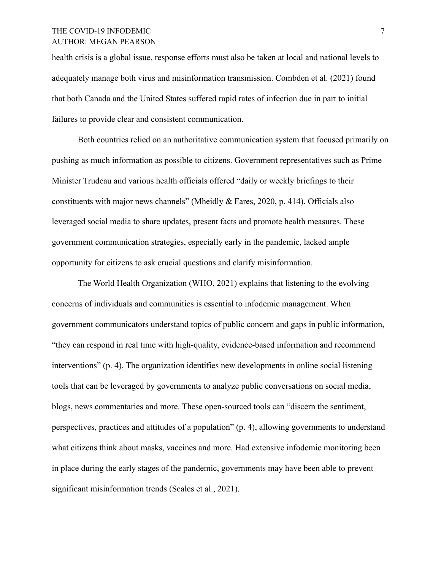## THE COVID-19 INFODEMIC 7 AUTHOR: MEGAN PEARSON

health crisis is a global issue, response efforts must also be taken at local and national levels to adequately manage both virus and misinformation transmission. Combden et al. (2021) found that both Canada and the United States suffered rapid rates of infection due in part to initial failures to provide clear and consistent communication.

Both countries relied on an authoritative communication system that focused primarily on pushing as much information as possible to citizens. Government representatives such as Prime Minister Trudeau and various health officials offered "daily or weekly briefings to their constituents with major news channels" (Mheidly & Fares, 2020, p. 414). Officials also leveraged social media to share updates, present facts and promote health measures. These government communication strategies, especially early in the pandemic, lacked ample opportunity for citizens to ask crucial questions and clarify misinformation.

The World Health Organization (WHO, 2021) explains that listening to the evolving concerns of individuals and communities is essential to infodemic management. When government communicators understand topics of public concern and gaps in public information, "they can respond in real time with high-quality, evidence-based information and recommend interventions" (p. 4). The organization identifies new developments in online social listening tools that can be leveraged by governments to analyze public conversations on social media, blogs, news commentaries and more. These open-sourced tools can "discern the sentiment, perspectives, practices and attitudes of a population" (p. 4), allowing governments to understand what citizens think about masks, vaccines and more. Had extensive infodemic monitoring been in place during the early stages of the pandemic, governments may have been able to prevent significant misinformation trends (Scales et al., 2021).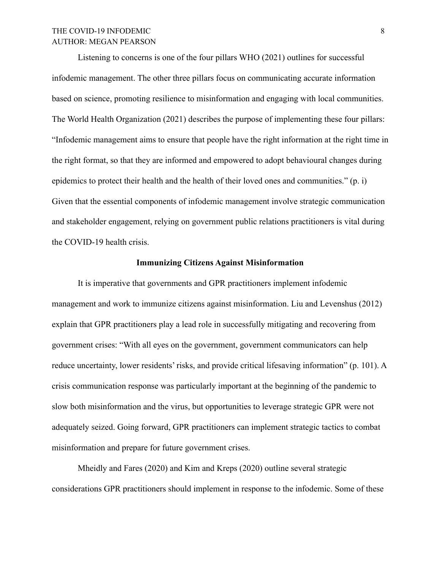# THE COVID-19 INFODEMIC 8 AUTHOR: MEGAN PEARSON

Listening to concerns is one of the four pillars WHO (2021) outlines for successful infodemic management. The other three pillars focus on communicating accurate information based on science, promoting resilience to misinformation and engaging with local communities. The World Health Organization (2021) describes the purpose of implementing these four pillars: "Infodemic management aims to ensure that people have the right information at the right time in the right format, so that they are informed and empowered to adopt behavioural changes during epidemics to protect their health and the health of their loved ones and communities." (p. i) Given that the essential components of infodemic management involve strategic communication and stakeholder engagement, relying on government public relations practitioners is vital during the COVID-19 health crisis.

### **Immunizing Citizens Against Misinformation**

It is imperative that governments and GPR practitioners implement infodemic management and work to immunize citizens against misinformation. Liu and Levenshus (2012) explain that GPR practitioners play a lead role in successfully mitigating and recovering from government crises: "With all eyes on the government, government communicators can help reduce uncertainty, lower residents' risks, and provide critical lifesaving information" (p. 101). A crisis communication response was particularly important at the beginning of the pandemic to slow both misinformation and the virus, but opportunities to leverage strategic GPR were not adequately seized. Going forward, GPR practitioners can implement strategic tactics to combat misinformation and prepare for future government crises.

Mheidly and Fares (2020) and Kim and Kreps (2020) outline several strategic considerations GPR practitioners should implement in response to the infodemic. Some of these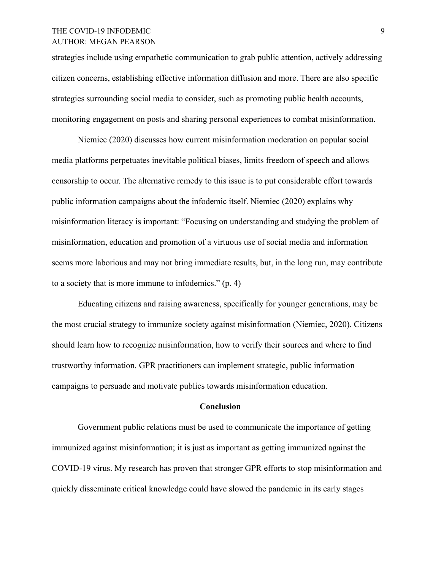## THE COVID-19 INFODEMIC 9 AUTHOR: MEGAN PEARSON

strategies include using empathetic communication to grab public attention, actively addressing citizen concerns, establishing effective information diffusion and more. There are also specific strategies surrounding social media to consider, such as promoting public health accounts, monitoring engagement on posts and sharing personal experiences to combat misinformation.

Niemiec (2020) discusses how current misinformation moderation on popular social media platforms perpetuates inevitable political biases, limits freedom of speech and allows censorship to occur. The alternative remedy to this issue is to put considerable effort towards public information campaigns about the infodemic itself. Niemiec (2020) explains why misinformation literacy is important: "Focusing on understanding and studying the problem of misinformation, education and promotion of a virtuous use of social media and information seems more laborious and may not bring immediate results, but, in the long run, may contribute to a society that is more immune to infodemics." (p. 4)

Educating citizens and raising awareness, specifically for younger generations, may be the most crucial strategy to immunize society against misinformation (Niemiec, 2020). Citizens should learn how to recognize misinformation, how to verify their sources and where to find trustworthy information. GPR practitioners can implement strategic, public information campaigns to persuade and motivate publics towards misinformation education.

### **Conclusion**

Government public relations must be used to communicate the importance of getting immunized against misinformation; it is just as important as getting immunized against the COVID-19 virus. My research has proven that stronger GPR efforts to stop misinformation and quickly disseminate critical knowledge could have slowed the pandemic in its early stages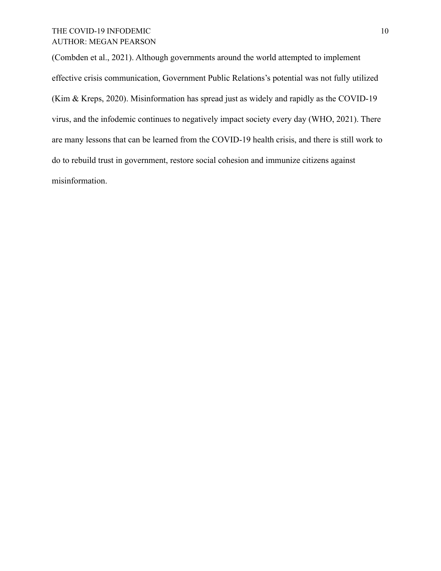# THE COVID-19 INFODEMIC 10 AUTHOR: MEGAN PEARSON

(Combden et al., 2021). Although governments around the world attempted to implement effective crisis communication, Government Public Relations's potential was not fully utilized (Kim & Kreps, 2020). Misinformation has spread just as widely and rapidly as the COVID-19 virus, and the infodemic continues to negatively impact society every day (WHO, 2021). There are many lessons that can be learned from the COVID-19 health crisis, and there is still work to do to rebuild trust in government, restore social cohesion and immunize citizens against misinformation.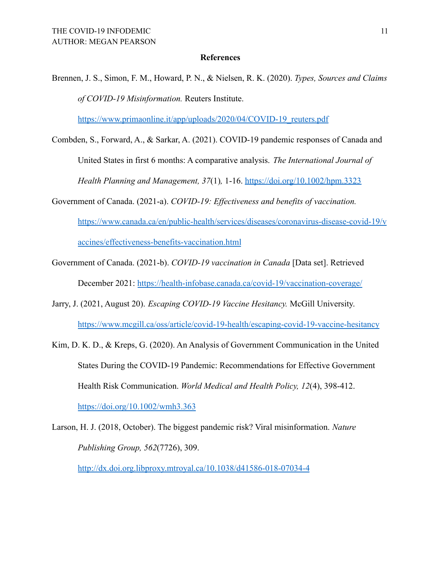#### **References**

Brennen, J. S., Simon, F. M., Howard, P. N., & Nielsen, R. K. (2020). *Types, Sources and Claims of COVID-19 Misinformation.* Reuters Institute.

[https://www.primaonline.it/app/uploads/2020/04/COVID-19\\_reuters.pdf](https://www.primaonline.it/app/uploads/2020/04/COVID-19_reuters.pdf)

- Combden, S., Forward, A., & Sarkar, A. (2021). COVID-19 pandemic responses of Canada and United States in first 6 months: A comparative analysis. *The International Journal of Health Planning and Management, 37*(1)*,* 1-16. <https://doi.org/10.1002/hpm.3323>
- Government of Canada. (2021-a). *COVID-19: Effectiveness and benefits of vaccination[.](https://www.canada.ca/en/public-health/services/diseases/coronavirus-disease-covid-19/vaccines/effectiveness-benefits-vaccination.html)* [https://www.canada.ca/en/public-health/services/diseases/coronavirus-disease-covid-19/v](https://www.canada.ca/en/public-health/services/diseases/coronavirus-disease-covid-19/vaccines/effectiveness-benefits-vaccination.html) [accines/effectiveness-benefits-vaccination.html](https://www.canada.ca/en/public-health/services/diseases/coronavirus-disease-covid-19/vaccines/effectiveness-benefits-vaccination.html)
- Government of Canada. (2021-b). *COVID-19 vaccination in Canada* [Data set]. [Retrieved](https://health-infobase.canada.ca/covid-19/vaccination-coverage/) December 2021: <https://health-infobase.canada.ca/covid-19/vaccination-coverage/>
- Jarry, J. (2021, August 20). *Escaping COVID-19 Vaccine Hesitancy.* McGill University[.](https://www.mcgill.ca/oss/article/covid-19-health/escaping-covid-19-vaccine-hesitancy) <https://www.mcgill.ca/oss/article/covid-19-health/escaping-covid-19-vaccine-hesitancy>
- Kim, D. K. D., & Kreps, G. (2020). An Analysis of Government Communication in the United States During the COVID-19 Pandemic: Recommendations for Effective Government Health Risk Communication. *World Medical and Health Policy, 12*(4), 398-412[.](https://doi.org/10.1002/wmh3.363) <https://doi.org/10.1002/wmh3.363>
- Larson, H. J. (2018, October). The biggest pandemic risk? Viral misinformation. *Nature Publishing Group, 562*(7726), 309.

<http://dx.doi.org.libproxy.mtroyal.ca/10.1038/d41586-018-07034-4>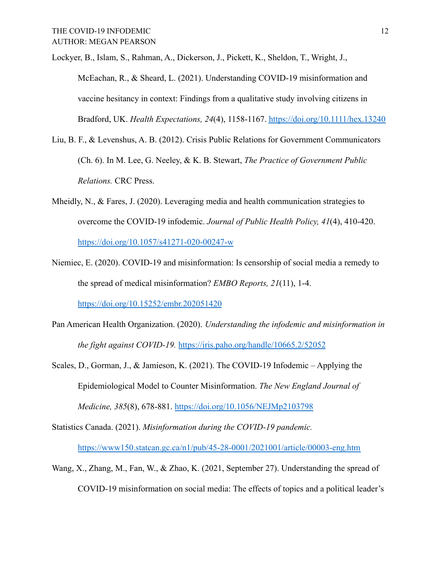Lockyer, B., Islam, S., Rahman, A., Dickerson, J., Pickett, K., Sheldon, T., Wright, J., McEachan, R., & Sheard, L. (2021). Understanding COVID-19 misinformation and vaccine hesitancy in context: Findings from a qualitative study involving citizens in Bradford, UK. *Health Expectations, 24*(4), 1158-1167. <https://doi.org/10.1111/hex.13240>

- Liu, B. F., & Levenshus, A. B. (2012). Crisis Public Relations for Government Communicators (Ch. 6). In M. Lee, G. Neeley, & K. B. Stewart, *The Practice of Government Public Relations.* CRC Press.
- Mheidly, N., & Fares, J. (2020). Leveraging media and health communication strategies to overcome the COVID-19 infodemic. *Journal of Public Health Policy, 41*(4), 410-420[.](https://doi.org/10.1057/s41271-020-00247-w) <https://doi.org/10.1057/s41271-020-00247-w>
- Niemiec, E. (2020). COVID-19 and misinformation: Is censorship of social media a remedy to the spread of medical misinformation? *EMBO Reports, 21*(11), 1-4[.](https://doi.org/10.15252/embr.202051420)

<https://doi.org/10.15252/embr.202051420>

- Pan American Health Organization. (2020). *Understanding the infodemic and misinformation in the fight against COVID-19.* <https://iris.paho.org/handle/10665.2/52052>
- Scales, D., Gorman, J., & Jamieson, K. (2021). The COVID-19 Infodemic Applying the Epidemiological Model to Counter Misinformation. *The New England Journal of Medicine, 385*(8), 678-881. <https://doi.org/10.1056/NEJMp2103798>
- Statistics Canada. (2021). *Misinformation during the COVID-19 pandemic.* <https://www150.statcan.gc.ca/n1/pub/45-28-0001/2021001/article/00003-eng.htm>
- Wang, X., Zhang, M., Fan, W., & Zhao, K. (2021, September 27). Understanding the spread of COVID-19 misinformation on social media: The effects of topics and a political leader's